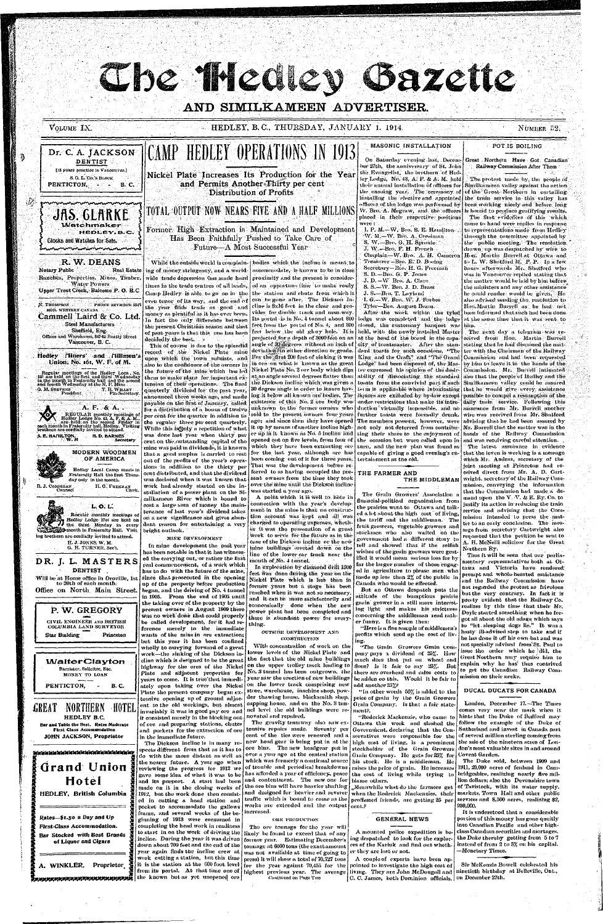Che friedey iazette

# AND SIMILKAMEEN ADVERTISER.

| HEDLEY, B.C., THURSDAY, JANUARY 1. 1914.<br>VOLUME IX.                                                                                                                                                                                      |                                                                                                                                                                                        |                                                                                                                                                                                                                                                                                       |  |
|---------------------------------------------------------------------------------------------------------------------------------------------------------------------------------------------------------------------------------------------|----------------------------------------------------------------------------------------------------------------------------------------------------------------------------------------|---------------------------------------------------------------------------------------------------------------------------------------------------------------------------------------------------------------------------------------------------------------------------------------|--|
| DENTIST<br>[18 years practice in Vancouver.]<br>S.O. L. Co.'s BLOCK<br>PENTICTON.<br>в. с.                                                                                                                                                  | Dr. C. A. JACKSON CAMP HEDLEY OPERATIONS IN 1913<br>Nickel Plate Increases Its Production for the Year<br>and Permits Another Thirty per cent<br><b>Distribution of Profits</b>        | MASONIC INSTALLATION<br>On Saturday evening last, Dec<br>ber 27th, the anniversary of St. J<br>the Evangelist, the brethern of I<br>ley Lodge, No. 43, A. F. & A. M.<br>their annual installation of officers<br>the ensuing year. The ceremon<br>installing the elective and appoint |  |
| which in the control of the control of the control of the control of the control of the control of the control<br>JAS. GLARKE<br><b>Watchmaker</b><br>HEDLEY, B.C.<br>Glocks and Watches for Sale.<br>diana manana amin'ny faritra manana a | TOTAL OUTPUT NOW NEARS FIVE AND A HALF MILLIONS<br>Former High Extraction is Maintained and Development<br>Has Been Faithfully Pushed to Take Care of<br>Future—A Most Successful Year | officers of the lodge was performed<br>W. Bro. A. Megraw, and the offi<br>placed in their respective posit<br>were:<br>I. P. M.-W. Bro. S. E. Hamilto<br>NV, M.-W. Bro. A. Creelman<br>S. W.-Bro. G. H. Sproule<br>$L$ W $=$ $R_{PQ}$ $\Gamma$ H $R_{YQD}$ $h$ $=$                    |  |

# **R. W. DEANS**

Notary Public **Real Estate** Ranches, Properties, Mines, Timber, **Water Powers** Upper Trout Creek, Balcomo P. O. B.C THIONE SEYMOUR 5913 N. THOMPSON MGR. WESTERN CANADA

Cammell Laird & Co. Ltd. **Steel Manufacturers** Sheffield, Eng. Offices and Warehouse, 847-63 Beatty Street Vancouver, B. C.

Hedley Miners' and Millmen's Union, No. 161, W. F. of M.

Regular meetings of the Hedley Loca, No.<br>161 are held on the first and third Wednesday<br>in the month in Fraternity hall and the accord<br>and fourth Wednesday at the N, P, Mine T. R. WILLEY O. M. STEVENS<br>President



ing of money stringency, and a worldwide trade depression thas made hard times in the trade centres of all lands, money as plentiful as it has ever been.  $\mathop{ \mathsf{I} }$ decidedly the best. A

upon which the town subsists, and them to make plans for important extension of their operations. The final quarterly dividend for the past year, While this isgonly a repetition of what cent on the outstanding capital of the mine was paid in dividends, it is known that a good surplus is carried to rest out of the profits of the year's operations in addition to the thirty per cent distributed, and that the dividend was declared when it was known that work had already started on the installation of a power plant on the Similkameen River which is bound to

While the outside world is complain- [bodies which the incline is meant to accommodate, is known to be in close proximity and the present is considered an opportune time to make ready Camp Hedley is able to go on in the the station and chute from which it even tenor of its way, and the end of  $\left\{ \text{cm} \right\}$  be gone after. The Dickson Inthe year finds trade as good and cline is 8x16 feet in the clear and provides for double track and man-way. In fact the only difference between Its portal is in No. 4 tunnel about  $800$ the present Christifias season and that feet from the portal of No. 4, and 300 of past years is that this one has been feet below the old glory hole. It is projected for a depth of 3000 feet on an This of course is due to the splendid angle of 30 degrees without an inch of record of the Nickel Plate mine deviation in either direction or grade. For the first 200 feet of sinking it was also to the confidence of the owners in in ore on what is known as the great the future of the mine which has led Nickel Plate No. 2 ore body which dips at an angle several degrees flatter than [ the Dickson incline which was given a [30 degree angle in order to insure hav-] announced three weeks ago, and made | ing it below all known ore bodies. The payable on the first of January, called existence of this No. 2 ore body was for a distribution of a homes of twelve unknown to the former owners who per cent for the quarter in addition to sold to the present owners four years the regular three per cent quarterly, ago; and since then they have opened It up by means of another incline ligh- | not only not deterred from contribuwas done last year when thirty per er up in it known as No. 5 incline and ting their share to the enjoyment of opened out on five levels, from four of the occasion but were called upon in which they have been extracting ore for the last year, although ore has been coming out of it for three years. That was the development before referred to as having occupied the present owners from the time they took over the mine until the Dickson incline was started a year ago.

A point which it is well to note in cost a large sum of money the main-connection with the year's developtenance of last year's dividend takes ment in the mine is that no construction account was kept and all was charged to operating expenses, whether it was the prosecution of a great work to serve for the future as in the case of the Dickson incline or the new mine buildings erected down on the line of the lower car track near the mouth of No. 4 tunnel. In exploration by diamond drill 1300 feet was done during the year on the Nickel Plate which is less than in former years but a stage has been reached when it was not so necessary, and it can be more satisfactorily and economically done when the new power plant has been completed and there is abundant power for everything.

vening last, Decemiversary of St. John he brethern of Hed-, A. F. & A. M. held llation of officers for The ceremony of ctive and appointed te was performed by respective positions

o. S. E. Hamilton A. Creelman H. Sproule . J. W.-Bro. F. H. French Chaplain-W. Bro. A. H. Cameron Treasurer - Bro. E. D. Boeing Secretary-Bio. H. G. Freeman S. D.-Bro. G. P. Jones J.D.-W Bro. A. Clare S. S.-W. Bro. J. D. Brass J. S.-Bro. T. Layland L. G.-W. Bro. W. J. Forbes Tyler-Bro. August Beam.

After the work within the tyled lodge was completed and the lodge closed, the customary banquet was held, with the newly installed Master at the head of the board in the capacity of toastmaster. After the standard toasts for such occasions, "The King and the Craft" and "The Grand Lodge" had been disposed of, the Master expressed his opinion of the destr ability of dissociating the standard toasts from the convivial part if such term is applicable where intoxicating liquors are excluded by hy-law except under restrictions that make its introduction virtually impossible, and no further toasts were formally drunk. The members present, however, were turn, and the new plan was found as capable of giving a good evening's entertainment as the old.

### THE FARMER AND THE MIDDLEMAN

The Grain Growers' Association a financial-political organization from the prairies went to Ottawa and talked a lot about the high cost of living,

POT IS BOILING

NUMBER 52

Great Northern Have Got Canadian Railway Commission After Them

The protest made by the people of Similkameen valley against the action of the Great Northern in curtailing. the train service in this valley has been working nicely and before long w, and the officers is bound to produce gratifying results. The first evidences of this which came to hand were replies in response. to representations made from Hedley through the committee appointed by the public meeting. The resolution drawn up was despatched by wire to Hon. Martin Burrell at Ottawa and to L. W. Shatford M. P. P. In a few hours afterwards Mr. Shatford who was in Vancouver replied stating that the matter would be laid by him before the ministers and any other assistance he could render would be given. He also advised sending the resolution to Hon. Martin Burrell as he had not been informed that such had been done. at the same time that it was sent to him.

> The next day a telegram was received from Hon. Martin Burrell stating that he had discussed the matter with the Chairman of the Railway Commission and had been requested by him to leave it in the hands of the Commission. Mr. Burrell intimated also that the people of Hedley and the Similkameen valley could be assured. that he would give every assistance possible to compel a resumption of the daily train service. Following this assurance from Mr. Burrell another wire was received from Mr. Shatford advising that he had been assured by Mr. Burrell that the matter was in the hands of the Railway Commission and was receiving careful attention. The latest assurance in evidence that the leven is working is a message which Mr. Andras, secretary of the joint meeting at Princeton had received direct from Mr. A. D. Cartwright, secretary of the Railway Commission, conveying the information that the Commission had made a demand upon the  $V \cdot V$ , & E. Ry. Co. to justify its action in reducing the train service and advising that the Com-

on a new significance and gives abundant reason for entertaining a very

MINE DEVELOPMENT

In mine development the past year has been notable in that it has witnessed the carrying out, or rather the first real commencement, of a work which has to do with the future of the mine, since that prosecuted in the opening up of the property before production began, and the driving of No. 4 tunnel in 1905. From the end of 1905 until the taking over of the property by the present owners in August 1909 there was no work done that could properly be called development, for it had reference merely to the immediate wants of the mine in ore extraction;

wholly to carrying forward of a great work---the sinking of the Dickson incline which is designed to be the great highway for the ores of the Nickel Plate and adjacent properties for years to come. It is true that immediately upon taking over the Nickel Plate the present company began extensive opening up of ground adjacent to the old workings, but almost invariably it was in good pay ore and

it consisted merely in the blocking out of ore and preparing stations, chutes and pockets for the extraction of ore in the immediate future.

The Dickson incline is in many respects different from that as it has to do with the more distant as well as the nearer future. A year ago when reviewing the progress for 1912 we gave some idea of what it was to be and its purport. A start had been made on it in the closing weeks of [1912, but the work done then consist-] ed in cutting a head station and pocket to accommodate the gallows frame, and several weeks of the beginning of 1913 were consumed in completing the head work in readiness to start in on the work of driving the incline. During the year it was driven former year. Estimating December's down about 700 feet and the end of the tourage at 6000 tons (the exact amount year again finds the incline crew at was not available at time of going to

from its portal. At that time one of | highest previous year. The average the known but as yet unopened ore

#### OUTSIDE DEVELOPMENT AND CONSTRUCTION

With concentration of work on the lower levels of the Nickel Plate and the fact that the old mine buildings on the upper trolley track leading to No. 3 tunnel has been outgrown, the year saw the erection of new buildings on the lower track comprising new

store, warehouse, inachine shop, powder thawing house, blacksmith shop, capping house, and on the No. 3 tunnel level the old buildings were renovated and repaired.

The gravity tramway also saw extensive repairs made. Seventy per cent of the ties were renewed and a new head gear is being put in at the ore bins. The new headgear put in over a year ago at the central station which was formerly a continual source of trouble and periodical breakdowns has afforded a year of efficiency, peace and contentment. The new one for the ore bins will have heavier shafting

and designed for heavier and severer traffic which is bound to come as the works are extended and the output increased.

#### ORE PRODUCTION

The ore tonnage for the year will likely be found to exceed that of any work cutting a station, but this time | press) it will show a total of 70,727 tons

Continued on Page Two

the tariff and the middleman. The fruit growers, vegetable growers and stockmen who also waited on the government had a different story to tell and showed that if the selfish wishes of the grain growers were gratified it would mean serious loss for by far the larger number of those engaged in agriculture to please men who made up less than 2% of the public in Canada who would be effected.

But an Ottawa despatch puts the attitude of the bumptions prairie grain' grower in a still more interest. ing light and makes his strictures concerning the middleman read rather funny. It is given thus:

"Here is a fine sample of middlemen's profits which send up the cost of living.

"The Grain Growers Grain Company pays a dividend of 25%. How much does that put on wheat and flour? Is it fair to say 25%. But there are overhead and sales costs to be adden oo this. Would it be fair to add another 25%?

"In other words  $50\%$  is added to the price of grain by the Grain Growers Grain Company. Is that a fair statement?.

"Roderick Mackenzie, who came to Ottawa this week and slashed the Government, declaring that the Conservatives were responsible for the high cost of living, is a prominent the sale of the nineteen acres of Lonstockholder of the Grain Growers don's most valuable sites in and around Grain Company. He gets for 25% for his stock. He is a middleman. He raises the price of grain. He increases the cost of living while trying to l blame-others.

"Meanwhile what do the -farmers -get when the Roderick Mackenzies, their proffessed friends, are getting 25 per eent.?

#### **GENERAL NEWS**

A mounted police expedition is being despatched to look for the explorers of the Karluk- and find out whether they are lost or not.

A couple of experts have been apit is the station at the 600 foot level for the year against 70,455 for the pointed to investigate the high cost of living. They are John McDougall and C. C. James, both Dominion officials. on December 27th.

mission intended to press the matter to an early conclusion. The message from secretary Cartwright also requested that the petition be sent to A. H. McNeill solicitor for the Great Northern Ry.

Thus it will be seen that our parliamentary representatives both at Ottawa and Victoria have rendered prompt and whole-hearted assistance and the Railway Commission have not regarded the protest as frivolous but the very contrary. In fact it is preety evident that the Railway Co. realizes by this time that their Mr. Doyle started something when he forgot all about the old adage which savs to "let sleeping dogs lie." It was a hasty ill-advised step to take and if he has done it off his own bat and was not specially advised from St. Paul to issue the order which he did, the Great Northern may require him to explain why he has thus contrived to get the Canadian Railway Commission on their necks.

### DUCAL DUCATS FOR CANADA

London. December 17 .- The Times comes very near the mark when it hints that the Duke of Bedford may follow the example of the Duke of Sutherland and invest in Canada part of several million sterling coming from Covent Garden.

The Duke sold, between 1909 and 1911, 20,000 acres of fenland in Cambridgeshire, realizing nearly five million dollars; also the Devonshire town of Tavistock, with its water supply. markets, Town Hall and other public services and 8,500 acres, realizing \$2, 930,000.

It is understood that a considerable portion of this money has gone queitly into Canadian Pacific and other highclass Canadian securities and mortages. the Duke thereby getting from 5 to 7 instead of from 2 to 3% on his capital. –Monetary Times.

Sir McKenzie Bowell celebrated his ninetieth birthday at Belleville, Ont.,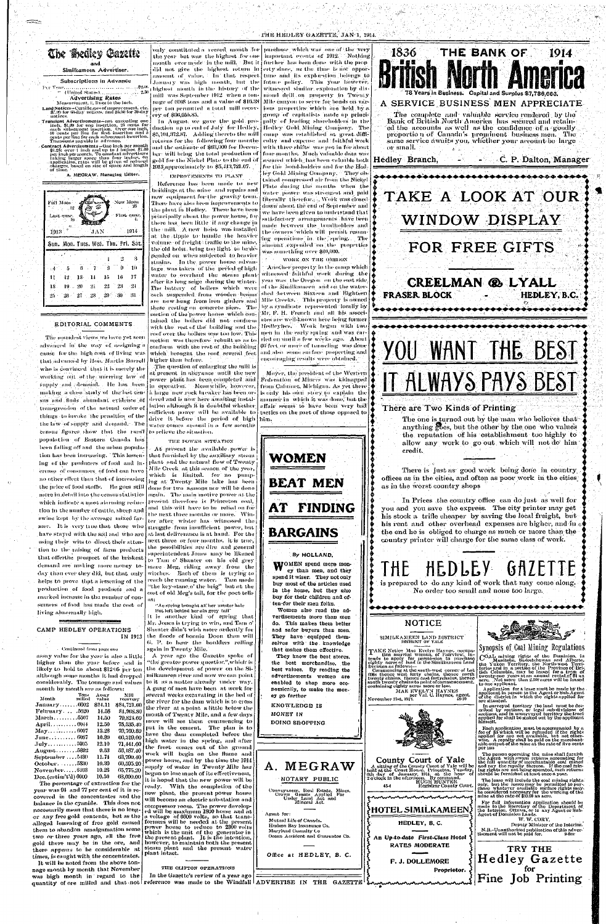## THE HEDLEY GAZETTE, JAN-1, 1914.



### Subscriptions in Advance

### Advertising Rates Measurement, It lines to the inch.

Land Notices-Certificates of miprovement, etc.<br>\$7.00 for 60-day notices, and \$6.00 for 30-day

motions.<br>
Translert Advertisements—not exceeding one<br>
inch, \$1.00 for one insertion, 25 eents for<br>
each subsequent insertion. Over one inch,<br>
16 cents per line for first insertion and 5<br>
cents per line for each subsequent

Transition is provided in the included of the incherence of the incherence in the state of the per menth of the state of the per inch per month. To constant advertisers taking larger space than four incluse, on application

A. MEGRAW, Managing Editor.

New Moon Full Moon First quar Last quar. 1913 -1914 Sun. Mon. Tues. Wed. Thu. Fri. Sat  $\mathbf{2}$ - 3  $\mathfrak{g}$ `\$ -10 - 5  $11$  $-12$  $13<sub>13</sub>$  $-14$  $15\,$  $16$ - 17 18  $19 - 20$  $-21$  $22\,$ -23  $25<sub>1</sub>$  $-26$  $27 - 28 = 29 = 30$ - 31

# EDITORIAL COMMENTS

The soundest views we have yet seen advanced in the way of assigning a cause for the high cost of living was that advanced by Hon. Martin Burrell who is convinced that it is merely the working out of the unerring law of supply and demaind. He has been making a close study of the last census and finds abundant evidence of transgression of the natural order of things to invoke the penalties of the the law of supply and demand. The census figures show that the rural population of Eastern Canada has been falling off and the urban population has been increasing. This lessening of the producers of food and increase of consumers of food can have no other effect than that of increasing the price of food stuffs. He goes still  $\int_{0}^{8}$  done for two seasons nor will be done more in detail into the census statistics which indicate a most alarming reduction in the number of cattle, sheep and swine kept by the average mixed far- the near mixed may wither has witnessed the mer. It is very true that those who struggle from insufficient power, but , have stayed with the soil and  $% \mathcal{N}$  who are  $\mathcal{N}$ using their wits to direct their attention to the raising of farm products that offerthe prospect of the briskest demand are making more money to- mare Meg, riding away from the day than ever they did, but that, only witches. Each of them is trying to helps to prove that a lessening of the production of food products and a marked increase in the number of consumers of food has made the cost of living abnormally high.

only constituted a record month for the year but was the highest for one January was high month, but the highest nionth in the history of the mill was September 1912 when a tonmage of 6108 tons and a value of  $\$16.38$   $\vert$ 

per ton permitted a total mill recovery of \$96,055.85. In August, we gave the gold production up to end of July for Hedley,

\$5,101,372.87. Adding thereto the mill returns for the following four months and the estimate of \$63,000 for Decem-4913, approximately to \$5,413,721.07.

IMPROVEMENTS TO PLANT Reference has been made to new boildings at the mine- and repairs and new equipment for the gravity train. There have also been improvements to the plant in Hedley. These have been principally about the power house, for there has, been little if any change in the mill. A new hoist was installed at the tipple to handle the heavier volume of freights traffic to the mine, the old hoist, being too light, to be depended on when subjected to heavier strains. In the power house advantage was taken of the period of high water to overhaul the steam plantafter its long seige during the winter. The battery of boilers which were each suspended from wooden heams shed between Sixteen and Eighteen are now hung from iron girders and Mile Creeks. This property is owned these resting on concrete piers. The section of the power house which contained the boilers did not conform with the rest of the building and the roof over the boilers was too low. This section was therefore rebuilt so as to conform with the rest of the building which brought the roof several feet higher than before.

The question of enlarging the mill is it present in abeyance until the new power plant has been completed and in operation. Meanwhile, however, a large mew rock breaker has been ordered and is now here awaiting installation although it is doubtful whether sufficient power will be available to drive it before the period of high water comes around in a few months to relieve the situation.

#### THE POWER SITUATION

At present the available power is that furnished by the auxiliary steam plant and the mitural flow of Twenty Mile Creek | at this season of the year, which is limited, for no pumping at Twenty Mile lake has been again. The main motive power at the present therefore is Princeton coal. and this will have to be relied on for the next three months or more. Winat last deliverance is at hand. For the next three or four-months, it is true, the possibilities are dire and general superintendent Jones may be likened to Tam o' Shanter on his old grey reach the running water. Tam made 'the key-stane,o' the brig" but at the ost of old Meg's tail, for the poet tells

purchase which was one of the very important events of 1912. Nothing month ever made in the mill. But it further has been done with the prop did not give the highest return in erty since, as the time is not opporamount of value, I In that respect tune and its exploration belongs to future policy. This year however, witnessed similar exploration by dia mond drill on property in Twenty Mile canyon to serve for bonds on var jous properties which are held by a group of capitalists made up principally of leading shareholders in the Hedley Gold Mining Company. The eamp was established at great difficulty and expense and faithful work with three shifts' was pot in for about bers will being the total production of four-months. Much valiable data was gold for the Nickel Plate to the end of secured which, has been valuable both. for the bond-holders and for the Hedley Gold Mining Company. They obtained compressed air from the Nickel Plate during the months when the water power was strongest and paid liberally therefore, Work was closed down about the end of September and we have been given to understand that satisfactory arrangements have been made between the boudholders and the owners which will permit resuming operations in the spring. The amount expended on the properties was something over \$40,000.

WORK ON THE OREGON

Another property in the camp which witnessed faithful work during the vent was the Oregon on the east side. of the Similkameen and on the waterby a syndicate represented locally by Mr. F. H. French and all his associates are well-known here being former Hedleylees. Work began with two men in the early spring and was carried on until a few weeks ago. About 60 feet or more of tunneling was done and also some surface propecting and encouraging results were obtained.

Moyer, the president of the Western Federation of Miners was kidnapped from Calumet, Michigan. As yet there is only his own story to explain the manner in which it was done, but the affair seems to have been very bad tactics on the part of those opposed to





# A SERVICE BUSINESS MEN APPRECIATE

The complete and valuable service rendered by the Bank of British North America has seened and retained the accounts as well as the confidence of a goodly proportion of Canada's prominent business men. The same service awaits you, whether your account be large or small.

Hedley Branch,

- C. P. Dalton, Manager

TAKE A LOOK AT OUR WINDOW DISPLAY

# FOR FREE GIFTS

CREELMAN & LYALL HEDLEY, B.C. **FRASER BLOCK** 

WANT THE BEST Y ( ) [ ] IT ALWAYS PAYS BEST

## There are Two Kinds of Printing

The one is turned out by the man who believes that anything cos, but the other by the one who values the reputation of his establishment too highly to allow any work to go out which will not do him credit.

There is just as good work being done in country offices as in the cities, and often as poor work in the cities as in the worst country shops

In Prices the country office can do just as well for you and you save the express. The city printer may get his stock a trifle cheaper by saving the local freight, buthis rent and other overhead expenses are higher, and in  $\phi$ the end he is obliged to charge as much or more than the

HEDLEY GAZETTE

country printer will charge for the same class of work.

is prepared to do any kind of work that may come along.

No order too small and none too large.

CAMP HEDLEY OPERATIONS IN 1913

Continued from page one

assay value for the year is also a little higher than the year before and is likely to hold to about \$12.05 per ton although some months it had dropped considerably. The tonnage and values month by month are as follows:

| Tons<br>Month milled                           | Assay<br>value | Mill<br>recovery. |
|------------------------------------------------|----------------|-------------------|
| January6002                                    | \$11.11        | \$84,721.00       |
| February5620                                   | 14.58          | 81,908.80         |
| March5507                                      | 14.50          | 79,824.60         |
|                                                | 12.50          | 75,535,40         |
| $\text{May.} \ldots \ldots \ldots \ldots 6007$ | 13.28          | $-79,760.80$      |
| June 6087                                      | 10.89          | 66,319,00         |
| July5905                                       | 12.10          | 71,441.60         |
| $\mathrm{August.}\dots\dots.5892$              | 0.53           | 56,187.40         |
| September 5430                                 | 11.74          | 63,790.40         |
| October. 5830                                  | 10.39          | 60,595,20         |
| <b>November6103</b>                            | 10.28          | 65,775,20         |
| Dec. (estim't'd) 6000                          | 10.50          | 63,000.00         |

The percentage of extraction for the year was 94 and 77 per cent of it is recovered in the concentrates and the balance in the cyanide. This does not necessarily mean that there is no longer any free gold contents, but as the alleged lessening of free gold caused them to abandon amalgamation some two or three years ago, all the free gold there may be in the ore, and there appears to be considerable at times, is caught with the concentrates.

It will be noted from the above tonnage month by month that November was high month in regard to the

"Ae spring brought all her master hale But left behind her ain grev tail" It is another kind of spring that Mr. Jones is trying to win, and Tam o' Shanter didn't wish more ardently for the floods of bonnie Doon than will G. P. to hear the boulders rolling again in Twenty Mile.

#### A year ago the Gazette spoke of the greater power questior.", which is the development of power on the Similkameen river and now we can point to it as a matter already under way. A gang of men have been at work for several weeks excavating in the hed of the river for the dam which is to cross the river at a point adittle below the mouth of Twenty Mile, and a few days more will see them commencing to put in the cement. The plan is to have the dam completed before the high water in the spring, and after the frost comes out of the ground work will begin on the flume and power house, and by the time the 1914 supply of water in Twenty Mile has begun to lose much of its effectiveness, it is hoped that the new power will be ready. With the completion of the new plant, the present power house will become an electric sub-station and compressor room. The power developed will be maximum 1800 horse and at a voltage of 6600 volts, so that transformers will be needed at the present power house to reduce to 2300 volts which is the unit of the generator in the present plant. It is the intention, however, to maintain both the present steam plant and the present water plant intact.

#### THE CLIFTON OPERATIONS

In the Gazette's review of a year ago quantity of ore milled and that not reference was made to the Windfall ADVERTISE IN THE GAZETTE

# **BARGAINS**

# By HOLLAND.

WOMEN spend more money than men, and they spend it wiser. They not only buy most of the articles used in the home, but they also buy for their children and often-for their men folks.

Women also read the advertisements more than men do. This makes them better and safer buyers than men. They have equipped themselves with the knowledge that makes them effective.

They know the best stores, the best merchandise, the best values. By reading the advertisements women are enabled to shop more economically, to make the money go farther

A. MEGRAW

NOTARY PUBLIC

Conveyancer, Real Estate, Mines,<br>Crown Grants Applied For<br>Under Land Act and<br>Mineral Act.

Ocean Accident and Guarantee Co.

Agont for:

Mutual Life of Canada.

Maryland Casualty Co

Hudson Bay Insurance Co.

**KNOWLEDGE IS** MONEY IN DOING SHOPPING



County Court of Yale

A sitting of the Count Pouse. Princeton, Tuesday, 6th day of January, 1914, at the hour of 2 o'clock in the afternoon. By command.

**HOTEL SIMILKAMEEN** 

HEDLEY, B.C.

An Up-to-date First-Class Hotel

**RATES MODERATE** 

Registrar County Court

THE

Colar mining rights of the Dominion, in<br>
Colar mining rights of the Dominion, in<br>
Manitoba, Sakatchewan and Alberta,<br>
the Yukon Territory, the North-west Terri-<br>
tories and in a portion of the Province of Bri-<br>
(she Columb to one applicant.

Application for a lease must be made by the applicant in person to the Agent or Sub-Agent of the district in which the rights applied for arc situated.

In surveyed territory the land must be described by sections, or legal sub-divisions of sections, and in unsurveyed territory the tractions, applied for shall be staked out by the applicant himself.

Each application must be accompanied by a<br>fee of \$5 which will be refunded if the rights<br>applied for are not available, but not other<br>wise. A royalty shall be paid on the merchant-<br>able output of the mine at the rate of fi ner ton

The person operating the mine shall furnish the Agent with sworn returns accounting for the full quantity of merchantable coal minering rights are not being operated, such returns should be furnished at least once a year.

The lease will include the coal mining rights. The lease will include the coat mining rights.<br>
only, but the lesse may be permitted to par-<br>
chase whatever available surface rights may<br>
be considered necessary for the working of the<br>
mine at the rate of \$10.00 an acre.

For full information application should be<br>made to the Secretary of the Department of<br>the Interior, Ottawa, or to any Agent or Sub-<br>Agent of Dominion Lands.

W. W. CORY,

Deputy Minister of the Interior. 

TRY THE

Hedley Gazette

for

Fine Job Printing

Office at HEDLEY, B. C.

F. J. DOLLEMORE

# Proprietor.

45-4

Synopsis of Coal Mining Regulations.